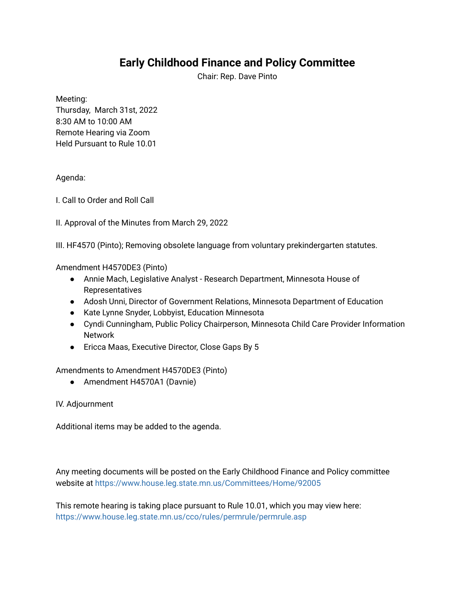## **Early Childhood Finance and Policy Committee**

Chair: Rep. Dave Pinto

Meeting:

Thursday, March 31st, 2022 8:30 AM to 10:00 AM Remote Hearing via Zoom Held Pursuant to Rule 10.01

## Agenda:

I. Call to Order and Roll Call

II. Approval of the Minutes from March 29, 2022

III. HF4570 (Pinto); Removing obsolete language from voluntary prekindergarten statutes.

Amendment H4570DE3 (Pinto)

- Annie Mach, Legislative Analyst Research Department, Minnesota House of Representatives
- Adosh Unni, Director of Government Relations, Minnesota Department of Education
- Kate Lynne Snyder, Lobbyist, Education Minnesota
- Cyndi Cunningham, Public Policy Chairperson, Minnesota Child Care Provider Information Network
- Ericca Maas, Executive Director, Close Gaps By 5

Amendments to Amendment H4570DE3 (Pinto)

● Amendment H4570A1 (Davnie)

IV. Adjournment

Additional items may be added to the agenda.

Any meeting documents will be posted on the Early Childhood Finance and Policy committee website at <https://www.house.leg.state.mn.us/Committees/Home/92005>

This remote hearing is taking place pursuant to Rule 10.01, which you may view here: <https://www.house.leg.state.mn.us/cco/rules/permrule/permrule.asp>